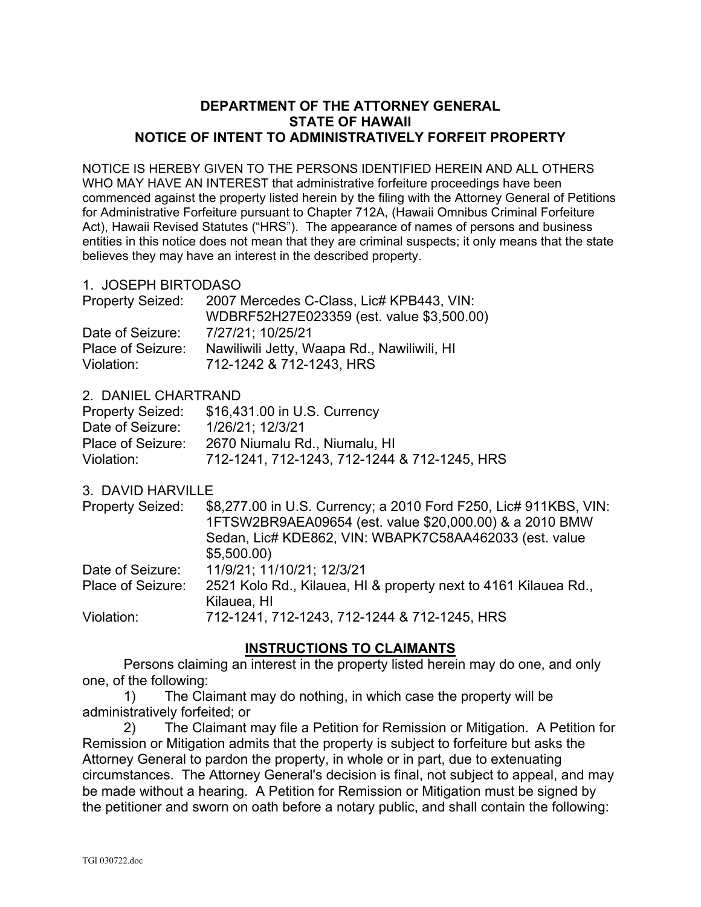## **DEPARTMENT OF THE ATTORNEY GENERAL STATE OF HAWAII NOTICE OF INTENT TO ADMINISTRATIVELY FORFEIT PROPERTY**

NOTICE IS HEREBY GIVEN TO THE PERSONS IDENTIFIED HEREIN AND ALL OTHERS WHO MAY HAVE AN INTEREST that administrative forfeiture proceedings have been commenced against the property listed herein by the filing with the Attorney General of Petitions for Administrative Forfeiture pursuant to Chapter 712A, (Hawaii Omnibus Criminal Forfeiture Act), Hawaii Revised Statutes ("HRS"). The appearance of names of persons and business entities in this notice does not mean that they are criminal suspects; it only means that the state believes they may have an interest in the described property.

## 1. JOSEPH BIRTODASO

| <b>Property Seized:</b> | 2007 Mercedes C-Class, Lic# KPB443, VIN:    |
|-------------------------|---------------------------------------------|
|                         | WDBRF52H27E023359 (est. value \$3,500.00)   |
| Date of Seizure:        | 7/27/21: 10/25/21                           |
| Place of Seizure:       | Nawiliwili Jetty, Waapa Rd., Nawiliwili, HI |
| Violation:              | 712-1242 & 712-1243, HRS                    |

## 2. DANIEL CHARTRAND

| <b>Property Seized:</b> | \$16,431.00 in U.S. Currency                 |
|-------------------------|----------------------------------------------|
| Date of Seizure:        | 1/26/21; 12/3/21                             |
| Place of Seizure:       | 2670 Niumalu Rd., Niumalu, HI                |
| Violation:              | 712-1241, 712-1243, 712-1244 & 712-1245, HRS |

3. DAVID HARVILLE

| <b>Property Seized:</b> | \$8,277.00 in U.S. Currency; a 2010 Ford F250, Lic# 911KBS, VIN:<br>1FTSW2BR9AEA09654 (est. value \$20,000.00) & a 2010 BMW<br>Sedan, Lic# KDE862, VIN: WBAPK7C58AA462033 (est. value<br>\$5,500.00 |
|-------------------------|-----------------------------------------------------------------------------------------------------------------------------------------------------------------------------------------------------|
| Date of Seizure:        | 11/9/21; 11/10/21; 12/3/21                                                                                                                                                                          |
| Place of Seizure:       | 2521 Kolo Rd., Kilauea, HI & property next to 4161 Kilauea Rd.,<br>Kilauea, HI                                                                                                                      |
| Violation:              | 712-1241, 712-1243, 712-1244 & 712-1245, HRS                                                                                                                                                        |

## **INSTRUCTIONS TO CLAIMANTS**

Persons claiming an interest in the property listed herein may do one, and only one, of the following:

1) The Claimant may do nothing, in which case the property will be administratively forfeited; or

2) The Claimant may file a Petition for Remission or Mitigation. A Petition for Remission or Mitigation admits that the property is subject to forfeiture but asks the Attorney General to pardon the property, in whole or in part, due to extenuating circumstances. The Attorney General's decision is final, not subject to appeal, and may be made without a hearing. A Petition for Remission or Mitigation must be signed by the petitioner and sworn on oath before a notary public, and shall contain the following: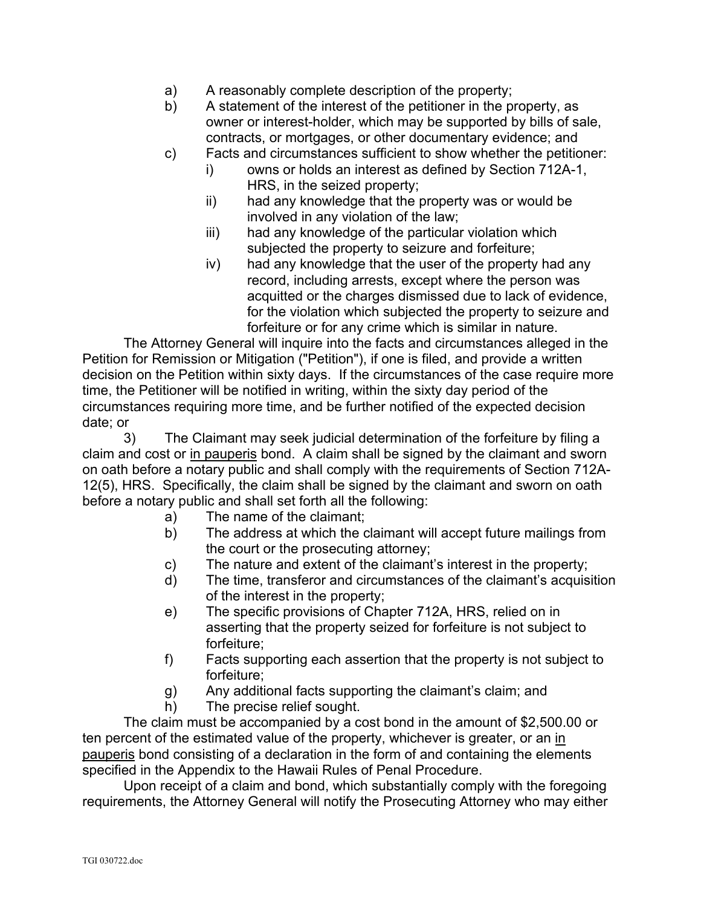- a) A reasonably complete description of the property;
- b) A statement of the interest of the petitioner in the property, as owner or interest-holder, which may be supported by bills of sale, contracts, or mortgages, or other documentary evidence; and
- c) Facts and circumstances sufficient to show whether the petitioner:
	- i) owns or holds an interest as defined by Section 712A-1, HRS, in the seized property;
	- ii) had any knowledge that the property was or would be involved in any violation of the law;
	- iii) had any knowledge of the particular violation which subjected the property to seizure and forfeiture;
	- iv) had any knowledge that the user of the property had any record, including arrests, except where the person was acquitted or the charges dismissed due to lack of evidence, for the violation which subjected the property to seizure and forfeiture or for any crime which is similar in nature.

The Attorney General will inquire into the facts and circumstances alleged in the Petition for Remission or Mitigation ("Petition"), if one is filed, and provide a written decision on the Petition within sixty days. If the circumstances of the case require more time, the Petitioner will be notified in writing, within the sixty day period of the circumstances requiring more time, and be further notified of the expected decision date; or

3) The Claimant may seek judicial determination of the forfeiture by filing a claim and cost or in pauperis bond. A claim shall be signed by the claimant and sworn on oath before a notary public and shall comply with the requirements of Section 712A-12(5), HRS. Specifically, the claim shall be signed by the claimant and sworn on oath before a notary public and shall set forth all the following:

- a) The name of the claimant;
- b) The address at which the claimant will accept future mailings from the court or the prosecuting attorney;
- c) The nature and extent of the claimant's interest in the property;
- d) The time, transferor and circumstances of the claimant's acquisition of the interest in the property;
- e) The specific provisions of Chapter 712A, HRS, relied on in asserting that the property seized for forfeiture is not subject to forfeiture;
- f) Facts supporting each assertion that the property is not subject to forfeiture;
- g) Any additional facts supporting the claimant's claim; and
- h) The precise relief sought.

The claim must be accompanied by a cost bond in the amount of \$2,500.00 or ten percent of the estimated value of the property, whichever is greater, or an in pauperis bond consisting of a declaration in the form of and containing the elements specified in the Appendix to the Hawaii Rules of Penal Procedure.

Upon receipt of a claim and bond, which substantially comply with the foregoing requirements, the Attorney General will notify the Prosecuting Attorney who may either